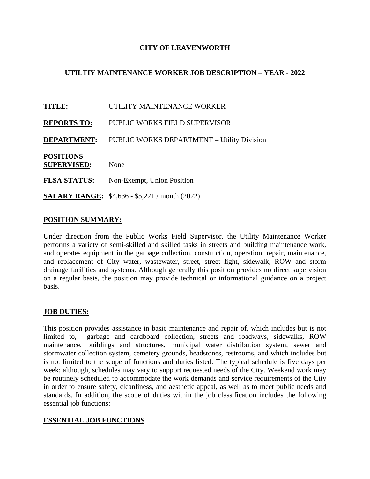### **CITY OF LEAVENWORTH**

### **UTILTIY MAINTENANCE WORKER JOB DESCRIPTION – YEAR - 2022**

| <b>TITLE:</b>                          | UTILITY MAINTENANCE WORKER                            |
|----------------------------------------|-------------------------------------------------------|
| <b>REPORTS TO:</b>                     | PUBLIC WORKS FIELD SUPERVISOR                         |
| <b>DEPARTMENT:</b>                     | <b>PUBLIC WORKS DEPARTMENT - Utility Division</b>     |
| <b>POSITIONS</b><br><b>SUPERVISED:</b> | None                                                  |
| <b>FLSA STATUS:</b>                    | Non-Exempt, Union Position                            |
|                                        | <b>SALARY RANGE:</b> \$4,636 - \$5,221 / month (2022) |

#### **POSITION SUMMARY:**

Under direction from the Public Works Field Supervisor, the Utility Maintenance Worker performs a variety of semi-skilled and skilled tasks in streets and building maintenance work, and operates equipment in the garbage collection, construction, operation, repair, maintenance, and replacement of City water, wastewater, street, street light, sidewalk, ROW and storm drainage facilities and systems. Although generally this position provides no direct supervision on a regular basis, the position may provide technical or informational guidance on a project basis.

#### **JOB DUTIES:**

This position provides assistance in basic maintenance and repair of, which includes but is not limited to, garbage and cardboard collection, streets and roadways, sidewalks, ROW maintenance, buildings and structures, municipal water distribution system, sewer and stormwater collection system, cemetery grounds, headstones, restrooms, and which includes but is not limited to the scope of functions and duties listed. The typical schedule is five days per week; although, schedules may vary to support requested needs of the City. Weekend work may be routinely scheduled to accommodate the work demands and service requirements of the City in order to ensure safety, cleanliness, and aesthetic appeal, as well as to meet public needs and standards. In addition, the scope of duties within the job classification includes the following essential job functions:

#### **ESSENTIAL JOB FUNCTIONS**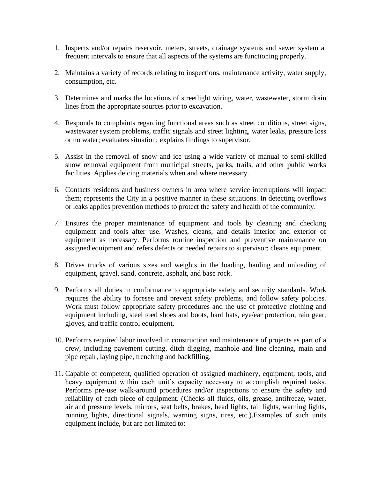- 1. Inspects and/or repairs reservoir, meters, streets, drainage systems and sewer system at frequent intervals to ensure that all aspects of the systems are functioning properly.
- 2. Maintains a variety of records relating to inspections, maintenance activity, water supply, consumption, etc.
- 3. Determines and marks the locations of streetlight wiring, water, wastewater, storm drain lines from the appropriate sources prior to excavation.
- 4. Responds to complaints regarding functional areas such as street conditions, street signs, wastewater system problems, traffic signals and street lighting, water leaks, pressure loss or no water; evaluates situation; explains findings to supervisor.
- 5. Assist in the removal of snow and ice using a wide variety of manual to semi-skilled snow removal equipment from municipal streets, parks, trails, and other public works facilities. Applies deicing materials when and where necessary.
- 6. Contacts residents and business owners in area where service interruptions will impact them; represents the City in a positive manner in these situations. In detecting overflows or leaks applies prevention methods to protect the safety and health of the community.
- 7. Ensures the proper maintenance of equipment and tools by cleaning and checking equipment and tools after use. Washes, cleans, and details interior and exterior of equipment as necessary. Performs routine inspection and preventive maintenance on assigned equipment and refers defects or needed repairs to supervisor; cleans equipment.
- 8. Drives trucks of various sizes and weights in the loading, hauling and unloading of equipment, gravel, sand, concrete, asphalt, and base rock.
- 9. Performs all duties in conformance to appropriate safety and security standards. Work requires the ability to foresee and prevent safety problems, and follow safety policies. Work must follow appropriate safety procedures and the use of protective clothing and equipment including, steel toed shoes and boots, hard hats, eye/ear protection, rain gear, gloves, and traffic control equipment.
- 10. Performs required labor involved in construction and maintenance of projects as part of a crew, including pavement cutting, ditch digging, manhole and line cleaning, main and pipe repair, laying pipe, trenching and backfilling.
- 11. Capable of competent, qualified operation of assigned machinery, equipment, tools, and heavy equipment within each unit's capacity necessary to accomplish required tasks. Performs pre-use walk-around procedures and/or inspections to ensure the safety and reliability of each piece of equipment. (Checks all fluids, oils, grease, antifreeze, water, air and pressure levels, mirrors, seat belts, brakes, head lights, tail lights, warning lights, running lights, directional signals, warning signs, tires, etc.).Examples of such units equipment include, but are not limited to: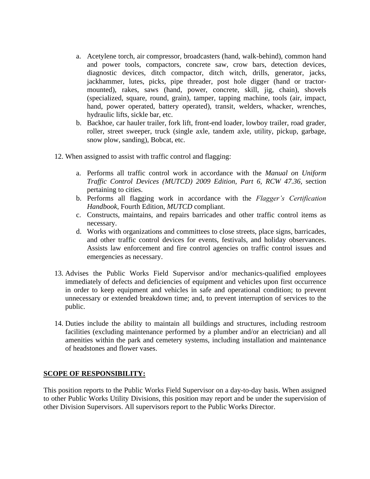- a. Acetylene torch, air compressor, broadcasters (hand, walk-behind), common hand and power tools, compactors, concrete saw, crow bars, detection devices, diagnostic devices, ditch compactor, ditch witch, drills, generator, jacks, jackhammer, lutes, picks, pipe threader, post hole digger (hand or tractormounted), rakes, saws (hand, power, concrete, skill, jig, chain), shovels (specialized, square, round, grain), tamper, tapping machine, tools (air, impact, hand, power operated, battery operated), transit, welders, whacker, wrenches, hydraulic lifts, sickle bar, etc.
- b. Backhoe, car hauler trailer, fork lift, front-end loader, lowboy trailer, road grader, roller, street sweeper, truck (single axle, tandem axle, utility, pickup, garbage, snow plow, sanding), Bobcat, etc.
- 12. When assigned to assist with traffic control and flagging:
	- a. Performs all traffic control work in accordance with the *Manual on Uniform Traffic Control Devices (MUTCD) 2009 Edition, Part 6, RCW 47.36,* section pertaining to cities.
	- b. Performs all flagging work in accordance with the *Flagger's Certification Handbook,* Fourth Edition, *MUTCD* compliant.
	- c. Constructs, maintains, and repairs barricades and other traffic control items as necessary.
	- d. Works with organizations and committees to close streets, place signs, barricades, and other traffic control devices for events, festivals, and holiday observances. Assists law enforcement and fire control agencies on traffic control issues and emergencies as necessary.
- 13. Advises the Public Works Field Supervisor and/or mechanics-qualified employees immediately of defects and deficiencies of equipment and vehicles upon first occurrence in order to keep equipment and vehicles in safe and operational condition; to prevent unnecessary or extended breakdown time; and, to prevent interruption of services to the public.
- 14. Duties include the ability to maintain all buildings and structures, including restroom facilities (excluding maintenance performed by a plumber and/or an electrician) and all amenities within the park and cemetery systems, including installation and maintenance of headstones and flower vases.

## **SCOPE OF RESPONSIBILITY:**

This position reports to the Public Works Field Supervisor on a day-to-day basis. When assigned to other Public Works Utility Divisions, this position may report and be under the supervision of other Division Supervisors. All supervisors report to the Public Works Director.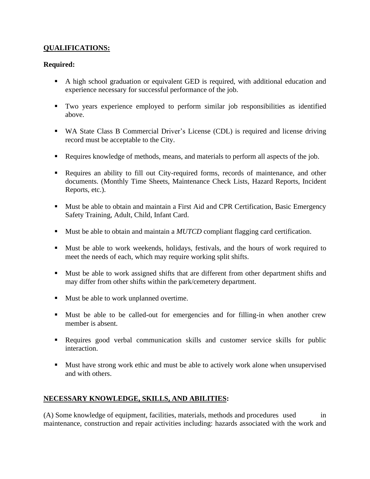## **QUALIFICATIONS:**

### **Required:**

- A high school graduation or equivalent GED is required, with additional education and experience necessary for successful performance of the job.
- Two years experience employed to perform similar job responsibilities as identified above.
- WA State Class B Commercial Driver's License (CDL) is required and license driving record must be acceptable to the City.
- Requires knowledge of methods, means, and materials to perform all aspects of the job.
- Requires an ability to fill out City-required forms, records of maintenance, and other documents. (Monthly Time Sheets, Maintenance Check Lists, Hazard Reports, Incident Reports, etc.).
- Must be able to obtain and maintain a First Aid and CPR Certification, Basic Emergency Safety Training, Adult, Child, Infant Card.
- Must be able to obtain and maintain a *MUTCD* compliant flagging card certification.
- Must be able to work weekends, holidays, festivals, and the hours of work required to meet the needs of each, which may require working split shifts.
- Must be able to work assigned shifts that are different from other department shifts and may differ from other shifts within the park/cemetery department.
- Must be able to work unplanned overtime.
- Must be able to be called-out for emergencies and for filling-in when another crew member is absent.
- Requires good verbal communication skills and customer service skills for public interaction.
- Must have strong work ethic and must be able to actively work alone when unsupervised and with others.

## **NECESSARY KNOWLEDGE, SKILLS, AND ABILITIES:**

(A) Some knowledge of equipment, facilities, materials, methods and procedures used in maintenance, construction and repair activities including: hazards associated with the work and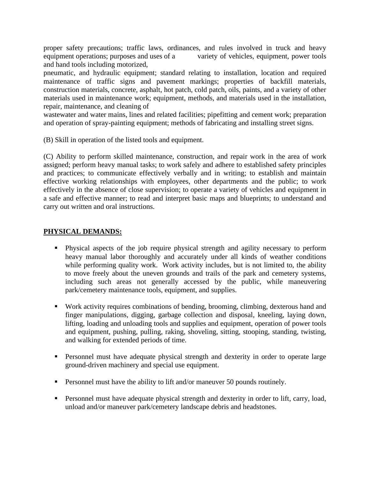proper safety precautions; traffic laws, ordinances, and rules involved in truck and heavy equipment operations; purposes and uses of a variety of vehicles, equipment, power tools and hand tools including motorized,

pneumatic, and hydraulic equipment; standard relating to installation, location and required maintenance of traffic signs and pavement markings; properties of backfill materials, construction materials, concrete, asphalt, hot patch, cold patch, oils, paints, and a variety of other materials used in maintenance work; equipment, methods, and materials used in the installation, repair, maintenance, and cleaning of

wastewater and water mains, lines and related facilities; pipefitting and cement work; preparation and operation of spray-painting equipment; methods of fabricating and installing street signs.

(B) Skill in operation of the listed tools and equipment.

(C) Ability to perform skilled maintenance, construction, and repair work in the area of work assigned; perform heavy manual tasks; to work safely and adhere to established safety principles and practices; to communicate effectively verbally and in writing; to establish and maintain effective working relationships with employees, other departments and the public; to work effectively in the absence of close supervision; to operate a variety of vehicles and equipment in a safe and effective manner; to read and interpret basic maps and blueprints; to understand and carry out written and oral instructions.

# **PHYSICAL DEMANDS:**

- Physical aspects of the job require physical strength and agility necessary to perform heavy manual labor thoroughly and accurately under all kinds of weather conditions while performing quality work. Work activity includes, but is not limited to, the ability to move freely about the uneven grounds and trails of the park and cemetery systems, including such areas not generally accessed by the public, while maneuvering park/cemetery maintenance tools, equipment, and supplies.
- Work activity requires combinations of bending, brooming, climbing, dexterous hand and finger manipulations, digging, garbage collection and disposal, kneeling, laying down, lifting, loading and unloading tools and supplies and equipment, operation of power tools and equipment, pushing, pulling, raking, shoveling, sitting, stooping, standing, twisting, and walking for extended periods of time.
- **•** Personnel must have adequate physical strength and dexterity in order to operate large ground-driven machinery and special use equipment.
- **•** Personnel must have the ability to lift and/or maneuver 50 pounds routinely.
- **•** Personnel must have adequate physical strength and dexterity in order to lift, carry, load, unload and/or maneuver park/cemetery landscape debris and headstones.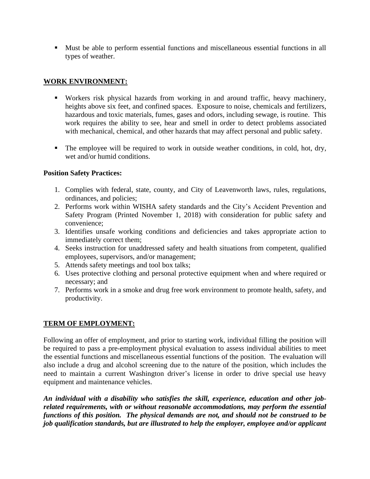▪ Must be able to perform essential functions and miscellaneous essential functions in all types of weather.

# **WORK ENVIRONMENT:**

- Workers risk physical hazards from working in and around traffic, heavy machinery, heights above six feet, and confined spaces. Exposure to noise, chemicals and fertilizers, hazardous and toxic materials, fumes, gases and odors, including sewage, is routine. This work requires the ability to see, hear and smell in order to detect problems associated with mechanical, chemical, and other hazards that may affect personal and public safety.
- The employee will be required to work in outside weather conditions, in cold, hot, dry, wet and/or humid conditions.

# **Position Safety Practices:**

- 1. Complies with federal, state, county, and City of Leavenworth laws, rules, regulations, ordinances, and policies;
- 2. Performs work within WISHA safety standards and the City's Accident Prevention and Safety Program (Printed November 1, 2018) with consideration for public safety and convenience;
- 3. Identifies unsafe working conditions and deficiencies and takes appropriate action to immediately correct them;
- 4. Seeks instruction for unaddressed safety and health situations from competent, qualified employees, supervisors, and/or management;
- 5. Attends safety meetings and tool box talks;
- 6. Uses protective clothing and personal protective equipment when and where required or necessary; and
- 7. Performs work in a smoke and drug free work environment to promote health, safety, and productivity.

# **TERM OF EMPLOYMENT:**

Following an offer of employment, and prior to starting work, individual filling the position will be required to pass a pre-employment physical evaluation to assess individual abilities to meet the essential functions and miscellaneous essential functions of the position. The evaluation will also include a drug and alcohol screening due to the nature of the position, which includes the need to maintain a current Washington driver's license in order to drive special use heavy equipment and maintenance vehicles.

*An individual with a disability who satisfies the skill, experience, education and other jobrelated requirements, with or without reasonable accommodations, may perform the essential functions of this position. The physical demands are not, and should not be construed to be job qualification standards, but are illustrated to help the employer, employee and/or applicant*